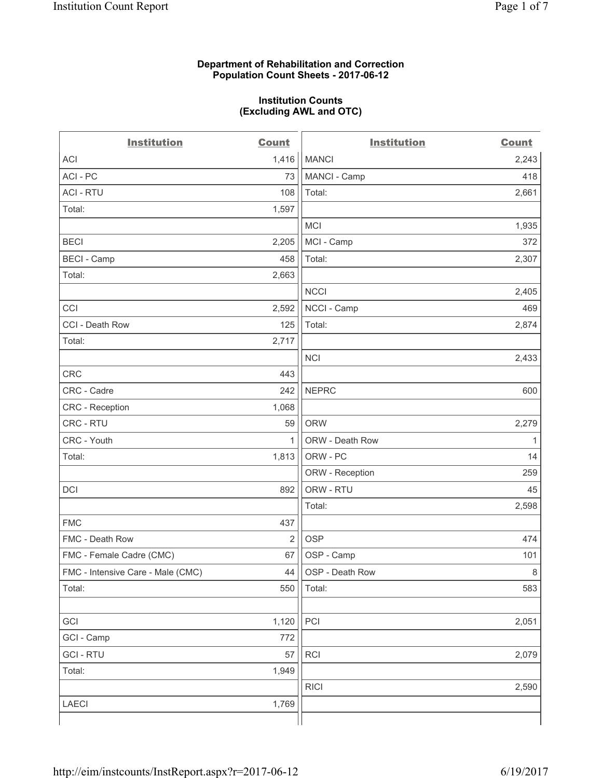#### **Department of Rehabilitation and Correction Population Count Sheets - 2017-06-12**

#### **Institution Counts (Excluding AWL and OTC)**

 $-$ 

| <b>Institution</b>                | <b>Count</b> | <b>Institution</b> | <b>Count</b> |
|-----------------------------------|--------------|--------------------|--------------|
| ACI                               | 1,416        | <b>MANCI</b>       | 2,243        |
| ACI - PC                          | 73           | MANCI - Camp       | 418          |
| <b>ACI - RTU</b>                  | 108          | Total:             | 2,661        |
| Total:                            | 1,597        |                    |              |
|                                   |              | MCI                | 1,935        |
| <b>BECI</b>                       | 2,205        | MCI - Camp         | 372          |
| <b>BECI</b> - Camp                | 458          | Total:             | 2,307        |
| Total:                            | 2,663        |                    |              |
|                                   |              | <b>NCCI</b>        | 2,405        |
| CCI                               | 2,592        | NCCI - Camp        | 469          |
| CCI - Death Row                   | 125          | Total:             | 2,874        |
| Total:                            | 2,717        |                    |              |
|                                   |              | <b>NCI</b>         | 2,433        |
| <b>CRC</b>                        | 443          |                    |              |
| CRC - Cadre                       | 242          | <b>NEPRC</b>       | 600          |
| CRC - Reception                   | 1,068        |                    |              |
| CRC - RTU                         | 59           | <b>ORW</b>         | 2,279        |
| CRC - Youth                       | $\mathbf{1}$ | ORW - Death Row    | 1            |
| Total:                            | 1,813        | ORW - PC           | 14           |
|                                   |              | ORW - Reception    | 259          |
| DCI                               | 892          | ORW - RTU          | 45           |
|                                   |              | Total:             | 2,598        |
| <b>FMC</b>                        | 437          |                    |              |
| FMC - Death Row                   | 2            | <b>OSP</b>         | 474          |
| FMC - Female Cadre (CMC)          | 67           | OSP - Camp         | 101          |
| FMC - Intensive Care - Male (CMC) | 44           | OSP - Death Row    | 8            |
| Total:                            | 550          | Total:             | 583          |
|                                   |              |                    |              |
| GCI                               | 1,120        | PCI                | 2,051        |
| GCI - Camp                        | 772          |                    |              |
| <b>GCI - RTU</b>                  | 57           | RCI                | 2,079        |
| Total:                            | 1,949        |                    |              |
|                                   |              | <b>RICI</b>        | 2,590        |
| LAECI                             | 1,769        |                    |              |
|                                   |              |                    |              |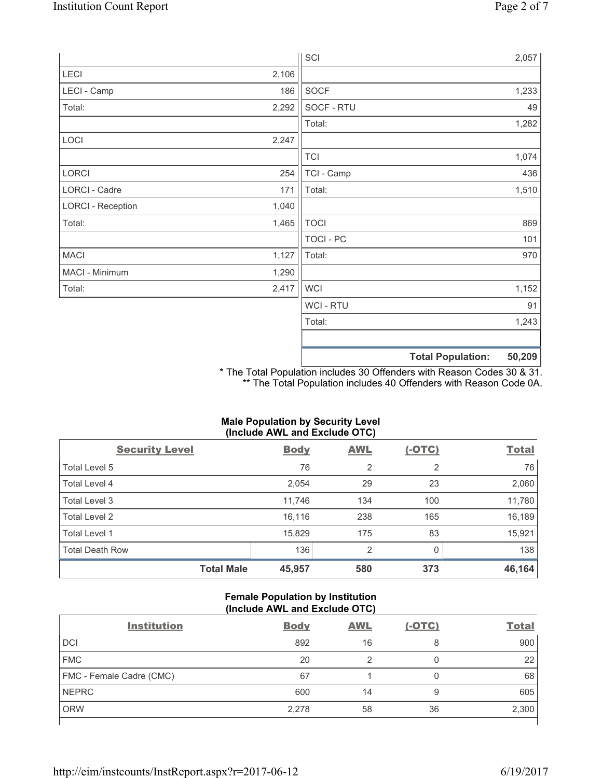|                          |       | SCI              |                          | 2,057  |
|--------------------------|-------|------------------|--------------------------|--------|
| LECI                     | 2,106 |                  |                          |        |
| LECI - Camp              | 186   | SOCF             |                          | 1,233  |
| Total:                   | 2,292 | SOCF - RTU       |                          | 49     |
|                          |       | Total:           |                          | 1,282  |
| LOCI                     | 2,247 |                  |                          |        |
|                          |       | <b>TCI</b>       |                          | 1,074  |
| LORCI                    | 254   | TCI - Camp       |                          | 436    |
| LORCI - Cadre            | 171   | Total:           |                          | 1,510  |
| <b>LORCI - Reception</b> | 1,040 |                  |                          |        |
| Total:                   | 1,465 | <b>TOCI</b>      |                          | 869    |
|                          |       | <b>TOCI - PC</b> |                          | 101    |
| <b>MACI</b>              | 1,127 | Total:           |                          | 970    |
| MACI - Minimum           | 1,290 |                  |                          |        |
| Total:                   | 2,417 | <b>WCI</b>       |                          | 1,152  |
|                          |       | <b>WCI-RTU</b>   |                          | 91     |
|                          |       | Total:           |                          | 1,243  |
|                          |       |                  | <b>Total Population:</b> | 50,209 |

\* The Total Population includes 30 Offenders with Reason Codes 30 & 31. \*\* The Total Population includes 40 Offenders with Reason Code 0A.

## **Male Population by Security Level (Include AWL and Exclude OTC)**

| $\mathbf{v}$<br><b>Security Level</b> | <b>Body</b> | $\mathbf{r}$<br><b>AWL</b> | $(-OTC)$       | <b>Total</b> |
|---------------------------------------|-------------|----------------------------|----------------|--------------|
| Total Level 5                         | 76          | $\overline{2}$             | $\overline{2}$ | 76           |
| Total Level 4                         | 2,054       | 29                         | 23             | 2,060        |
| Total Level 3                         | 11,746      | 134                        | 100            | 11,780       |
| Total Level 2                         | 16,116      | 238                        | 165            | 16,189       |
| Total Level 1                         | 15,829      | 175                        | 83             | 15,921       |
| <b>Total Death Row</b>                | 136         | $\overline{2}$             | <sup>0</sup>   | 138          |
| <b>Total Male</b>                     | 45,957      | 580                        | 373            | 46,164       |

### **Female Population by Institution (Include AWL and Exclude OTC)**

| <b>Institution</b>       | <b>Body</b> | <b>AWL</b> | <u>(-OTC)</u> | <b>Total</b> |
|--------------------------|-------------|------------|---------------|--------------|
| <b>DCI</b>               | 892         | 16         | 8             | 900          |
| <b>FMC</b>               | 20          | 2          | 0             | 22           |
| FMC - Female Cadre (CMC) | 67          |            | 0             | 68           |
| <b>NEPRC</b>             | 600         | 14         | 9             | 605          |
| <b>ORW</b>               | 2,278       | 58         | 36            | 2,300        |
|                          |             |            |               |              |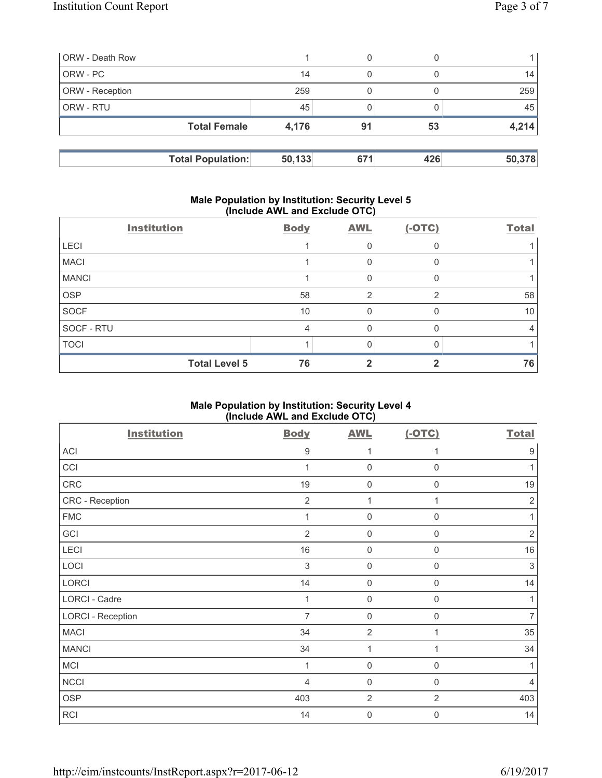| <b>ORW</b> - Death Row |                          |        | 0   |     |        |
|------------------------|--------------------------|--------|-----|-----|--------|
| ORW - PC               |                          | 14     | 0   |     | 14     |
| <b>ORW</b> - Reception |                          | 259    |     |     | 259    |
| l ORW - RTU            |                          | 45     |     |     | 45     |
|                        | <b>Total Female</b>      | 4,176  | 91  | 53  | 4,214  |
|                        |                          |        |     |     |        |
|                        | <b>Total Population:</b> | 50,133 | 671 | 426 | 50,378 |

## **Male Population by Institution: Security Level 5 (Include AWL and Exclude OTC)**

|              | <b>Institution</b>   | <b>Body</b> | <b>AWL</b>     | $(-OTC)$ | <b>Total</b> |
|--------------|----------------------|-------------|----------------|----------|--------------|
| <b>LECI</b>  |                      |             | 0              |          |              |
| <b>MACI</b>  |                      |             | 0              |          |              |
| <b>MANCI</b> |                      |             | 0              |          |              |
| <b>OSP</b>   |                      | 58          | $\overline{2}$ | ⌒        | 58           |
| <b>SOCF</b>  |                      | 10          | $\mathbf{0}$   |          | 10           |
| SOCF - RTU   |                      | 4           | 0              |          | 4            |
| <b>TOCI</b>  |                      |             | Ω              |          |              |
|              | <b>Total Level 5</b> | 76          |                |          | 76           |

# **Male Population by Institution: Security Level 4 (Include AWL and Exclude OTC)**

| <b>Institution</b>       | <b>Body</b>    | <b>AWL</b>       | $(-OTC)$       | <b>Total</b>     |
|--------------------------|----------------|------------------|----------------|------------------|
| ACI                      | 9              | 1                | 1              | $\boldsymbol{9}$ |
| CCI                      | 1              | $\mathbf 0$      | $\mathbf 0$    | 1                |
| ${\sf CRC}$              | 19             | $\mathbf 0$      | $\mathsf 0$    | 19               |
| CRC - Reception          | $\overline{2}$ | 1                | 1              | $\sqrt{2}$       |
| <b>FMC</b>               | 1              | $\mathbf 0$      | 0              | 1                |
| GCI                      | $\overline{2}$ | $\mathbf 0$      | 0              | $\sqrt{2}$       |
| LECI                     | 16             | $\mathbf 0$      | $\mathbf 0$    | 16               |
| LOCI                     | $\sqrt{3}$     | $\mathbf 0$      | $\mathsf 0$    | $\sqrt{3}$       |
| LORCI                    | 14             | $\mathbf 0$      | $\mathsf 0$    | 14               |
| <b>LORCI - Cadre</b>     | 1              | $\mathbf 0$      | $\mathbf 0$    | 1                |
| <b>LORCI - Reception</b> | $\overline{7}$ | $\mathbf 0$      | $\mathbf 0$    | $\overline{7}$   |
| <b>MACI</b>              | 34             | $\overline{2}$   |                | 35               |
| <b>MANCI</b>             | 34             | 1                | 1              | 34               |
| <b>MCI</b>               | 1              | $\mathbf 0$      | $\mathsf 0$    | 1                |
| <b>NCCI</b>              | 4              | $\mathbf 0$      | 0              | $\overline{4}$   |
| <b>OSP</b>               | 403            | $\overline{2}$   | $\overline{2}$ | 403              |
| RCI                      | 14             | $\boldsymbol{0}$ | 0              | 14               |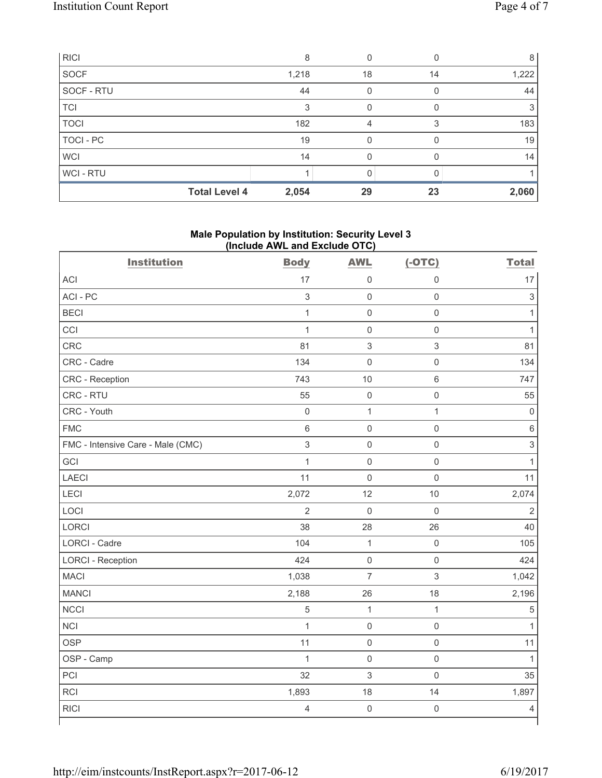| <b>RICI</b>      |                      | 8     |    |    | 8     |
|------------------|----------------------|-------|----|----|-------|
| SOCF             |                      | 1,218 | 18 | 14 | 1,222 |
| SOCF - RTU       |                      | 44    | 0  |    | 44    |
| <b>TCI</b>       |                      | 3     | 0  |    | 3     |
| <b>TOCI</b>      |                      | 182   | 4  | 3  | 183   |
| <b>TOCI - PC</b> |                      | 19    |    |    | 19    |
| <b>WCI</b>       |                      | 14    |    |    | 14    |
| WCI - RTU        |                      |       |    |    |       |
|                  | <b>Total Level 4</b> | 2,054 | 29 | 23 | 2,060 |

## **Male Population by Institution: Security Level 3 (Include AWL and Exclude OTC)**

| <b>Institution</b>                | <b>Body</b>               | <b>AWL</b>          | $(-OTC)$            | <b>Total</b>              |
|-----------------------------------|---------------------------|---------------------|---------------------|---------------------------|
| <b>ACI</b>                        | 17                        | $\mathsf{O}\xspace$ | $\mathbf 0$         | 17                        |
| ACI - PC                          | $\ensuremath{\mathsf{3}}$ | $\mathsf{O}\xspace$ | $\mathbf 0$         | $\ensuremath{\mathsf{3}}$ |
| <b>BECI</b>                       | $\mathbf{1}$              | $\mathsf{O}\xspace$ | $\mathsf{O}\xspace$ | $\mathbf{1}$              |
| CCI                               | $\mathbf{1}$              | $\mathsf{O}\xspace$ | $\mathsf 0$         | $\mathbf{1}$              |
| CRC                               | 81                        | $\sqrt{3}$          | $\mathsf 3$         | 81                        |
| CRC - Cadre                       | 134                       | $\mathsf{O}\xspace$ | $\mathsf{O}\xspace$ | 134                       |
| CRC - Reception                   | 743                       | 10                  | $6\,$               | 747                       |
| CRC - RTU                         | 55                        | $\mathsf{O}\xspace$ | $\mathsf{O}\xspace$ | 55                        |
| CRC - Youth                       | $\mathsf{O}\xspace$       | $\mathbf{1}$        | $\mathbf{1}$        | $\mathbf 0$               |
| <b>FMC</b>                        | 6                         | $\mathsf{O}\xspace$ | $\mathbf 0$         | $\,6$                     |
| FMC - Intensive Care - Male (CMC) | $\mathfrak{S}$            | $\mathbf 0$         | $\mathsf 0$         | $\mathfrak{S}$            |
| GCI                               | $\mathbf{1}$              | $\mathsf{O}\xspace$ | $\mathsf 0$         | $\mathbf{1}$              |
| <b>LAECI</b>                      | 11                        | $\mathbf 0$         | $\mathsf 0$         | 11                        |
| LECI                              | 2,072                     | 12                  | 10                  | 2,074                     |
| LOCI                              | $\overline{2}$            | $\mathbf 0$         | $\mathbf 0$         | $\overline{2}$            |
| <b>LORCI</b>                      | 38                        | 28                  | 26                  | 40                        |
| <b>LORCI - Cadre</b>              | 104                       | $\mathbf{1}$        | $\mathsf{O}\xspace$ | 105                       |
| <b>LORCI - Reception</b>          | 424                       | $\mathsf 0$         | $\mathsf 0$         | 424                       |
| <b>MACI</b>                       | 1,038                     | $\overline{7}$      | $\mathsf 3$         | 1,042                     |
| <b>MANCI</b>                      | 2,188                     | 26                  | 18                  | 2,196                     |
| <b>NCCI</b>                       | $\sqrt{5}$                | $\mathbf{1}$        | $\mathbf{1}$        | $\sqrt{5}$                |
| <b>NCI</b>                        | $\mathbf{1}$              | $\mathsf{O}\xspace$ | $\mathsf 0$         | $\mathbf{1}$              |
| <b>OSP</b>                        | 11                        | $\mathsf{O}\xspace$ | $\mathsf 0$         | 11                        |
| OSP - Camp                        | $\mathbf{1}$              | $\mathsf{O}\xspace$ | $\mathbf 0$         | $\mathbf{1}$              |
| PCI                               | 32                        | $\sqrt{3}$          | $\mathbf 0$         | 35                        |
| RCI                               | 1,893                     | 18                  | 14                  | 1,897                     |
| <b>RICI</b>                       | $\overline{4}$            | $\mathsf{O}\xspace$ | $\mathsf 0$         | $\overline{4}$            |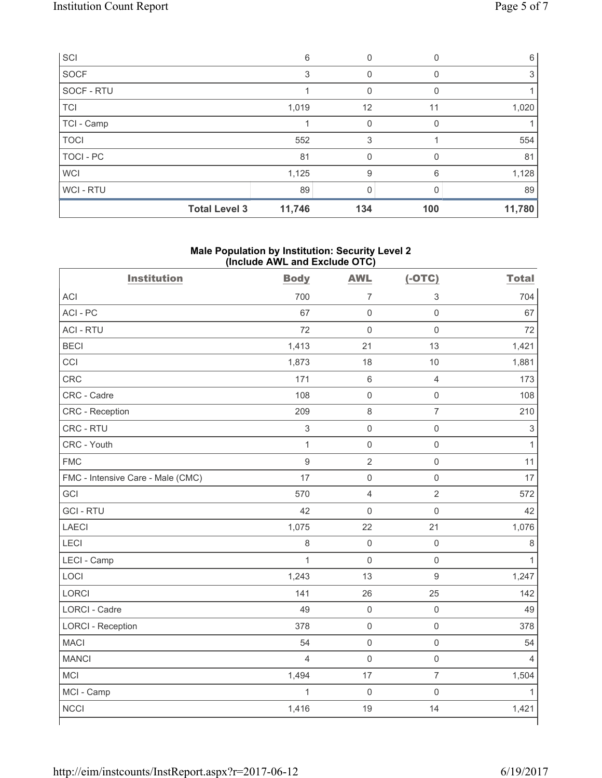| SCI                  | 6      | 0            |              | 6      |
|----------------------|--------|--------------|--------------|--------|
| <b>SOCF</b>          | 3      | 0            |              | 3      |
| SOCF - RTU           |        | 0            | 0            |        |
| <b>TCI</b>           | 1,019  | 12           | 11           | 1,020  |
| TCI - Camp           |        | $\mathbf{0}$ | <sup>0</sup> |        |
| <b>TOCI</b>          | 552    | 3            |              | 554    |
| TOCI - PC            | 81     | 0            | 0            | 81     |
| <b>WCI</b>           | 1,125  | 9            | 6            | 1,128  |
| <b>WCI-RTU</b>       | 89     | $\Omega$     |              | 89     |
| <b>Total Level 3</b> | 11,746 | 134          | 100          | 11,780 |

## **Male Population by Institution: Security Level 2 (Include AWL and Exclude OTC)**

| <b>Institution</b>                | <b>Body</b>    | <b>AWL</b>          | $(-OTC)$            | <b>Total</b>              |
|-----------------------------------|----------------|---------------------|---------------------|---------------------------|
| <b>ACI</b>                        | 700            | $\overline{7}$      | $\,$ 3 $\,$         | 704                       |
| ACI-PC                            | 67             | $\mathsf 0$         | $\mathsf{O}\xspace$ | 67                        |
| <b>ACI - RTU</b>                  | 72             | $\mathbf 0$         | $\mathsf{O}\xspace$ | 72                        |
| <b>BECI</b>                       | 1,413          | 21                  | 13                  | 1,421                     |
| CCI                               | 1,873          | 18                  | 10                  | 1,881                     |
| <b>CRC</b>                        | 171            | 6                   | $\overline{4}$      | 173                       |
| CRC - Cadre                       | 108            | $\mathsf{O}\xspace$ | $\mathsf{O}\xspace$ | 108                       |
| CRC - Reception                   | 209            | 8                   | $\overline{7}$      | 210                       |
| CRC - RTU                         | $\,$ 3 $\,$    | $\mathsf{O}\xspace$ | $\mathsf{O}\xspace$ | $\ensuremath{\mathsf{3}}$ |
| CRC - Youth                       | $\mathbf{1}$   | $\mathsf 0$         | $\mathsf{O}\xspace$ | $\mathbf{1}$              |
| <b>FMC</b>                        | $\overline{9}$ | $\overline{2}$      | $\mathsf{O}\xspace$ | 11                        |
| FMC - Intensive Care - Male (CMC) | 17             | $\mathsf 0$         | $\mathsf{O}\xspace$ | 17                        |
| GCI                               | 570            | 4                   | $\overline{2}$      | 572                       |
| <b>GCI-RTU</b>                    | 42             | $\mathbf 0$         | $\mathsf 0$         | 42                        |
| <b>LAECI</b>                      | 1,075          | 22                  | 21                  | 1,076                     |
| LECI                              | 8              | $\mathsf{O}\xspace$ | $\mathsf{O}\xspace$ | 8                         |
| LECI - Camp                       | $\mathbf{1}$   | $\mathbf 0$         | $\mathsf{O}\xspace$ | $\mathbf{1}$              |
| LOCI                              | 1,243          | 13                  | $\mathsf g$         | 1,247                     |
| LORCI                             | 141            | 26                  | 25                  | 142                       |
| <b>LORCI - Cadre</b>              | 49             | $\mathsf{O}\xspace$ | $\mathsf 0$         | 49                        |
| <b>LORCI - Reception</b>          | 378            | $\mathsf{O}\xspace$ | $\mathsf{O}\xspace$ | 378                       |
| <b>MACI</b>                       | 54             | $\mathsf{O}\xspace$ | $\mathsf{O}\xspace$ | 54                        |
| <b>MANCI</b>                      | $\overline{4}$ | $\mathsf{O}\xspace$ | $\mathsf{O}\xspace$ | $\overline{4}$            |
| MCI                               | 1,494          | 17                  | $\overline{7}$      | 1,504                     |
| MCI - Camp                        | $\mathbf{1}$   | $\mathbf 0$         | $\mathbf 0$         | 1                         |
| <b>NCCI</b>                       | 1,416          | 19                  | 14                  | 1,421                     |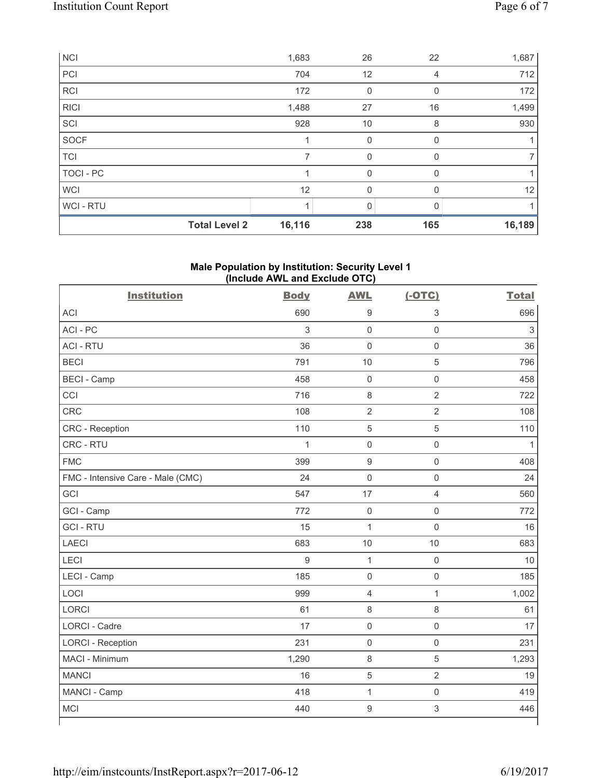| <b>NCI</b>       |                      | 1,683  | 26  | 22       | 1,687  |
|------------------|----------------------|--------|-----|----------|--------|
| PCI              |                      | 704    | 12  | 4        | 712    |
| <b>RCI</b>       |                      | 172    | 0   | 0        | 172    |
| <b>RICI</b>      |                      | 1,488  | 27  | 16       | 1,499  |
| SCI              |                      | 928    | 10  | 8        | 930    |
| SOCF             |                      |        | 0   | $\Omega$ |        |
| <b>TCI</b>       |                      | 7      | 0   | $\Omega$ |        |
| <b>TOCI - PC</b> |                      |        | 0   | $\Omega$ |        |
| <b>WCI</b>       |                      | 12     | 0   | $\Omega$ | 12     |
| WCI-RTU          |                      |        | 0   |          |        |
|                  | <b>Total Level 2</b> | 16,116 | 238 | 165      | 16,189 |

# **Male Population by Institution: Security Level 1 (Include AWL and Exclude OTC)**

| <b>Institution</b>                | <b>Body</b>  | <b>AWL</b>          | $(-OTC)$            | <b>Total</b> |
|-----------------------------------|--------------|---------------------|---------------------|--------------|
| <b>ACI</b>                        | 690          | $\boldsymbol{9}$    | $\sqrt{3}$          | 696          |
| ACI-PC                            | 3            | $\mathbf 0$         | $\mathbf 0$         | $\sqrt{3}$   |
| <b>ACI - RTU</b>                  | 36           | $\mathbf 0$         | $\mathsf 0$         | 36           |
| <b>BECI</b>                       | 791          | 10                  | $\overline{5}$      | 796          |
| <b>BECI - Camp</b>                | 458          | $\mathsf{O}\xspace$ | $\mathbf 0$         | 458          |
| CCI                               | 716          | $\,8\,$             | $\overline{2}$      | 722          |
| CRC                               | 108          | $\overline{2}$      | $\overline{2}$      | 108          |
| CRC - Reception                   | 110          | $\,$ 5 $\,$         | $\sqrt{5}$          | 110          |
| CRC - RTU                         | $\mathbf{1}$ | $\mathsf{O}\xspace$ | $\mathsf 0$         | 1            |
| <b>FMC</b>                        | 399          | $\mathsf g$         | $\mathsf 0$         | 408          |
| FMC - Intensive Care - Male (CMC) | 24           | $\mathsf{O}\xspace$ | $\mathbf 0$         | 24           |
| GCI                               | 547          | 17                  | $\overline{4}$      | 560          |
| GCI - Camp                        | 772          | $\mathsf{O}\xspace$ | $\mathsf{O}\xspace$ | 772          |
| <b>GCI-RTU</b>                    | 15           | 1                   | $\mathsf 0$         | 16           |
| <b>LAECI</b>                      | 683          | 10                  | 10                  | 683          |
| <b>LECI</b>                       | 9            | $\mathbf{1}$        | $\mathsf 0$         | 10           |
| LECI - Camp                       | 185          | $\mathsf 0$         | $\mathsf{O}\xspace$ | 185          |
| LOCI                              | 999          | $\overline{4}$      | $\mathbf{1}$        | 1,002        |
| <b>LORCI</b>                      | 61           | $\,8\,$             | 8                   | 61           |
| LORCI - Cadre                     | 17           | $\mathsf{O}\xspace$ | $\mathsf{O}\xspace$ | 17           |
| <b>LORCI - Reception</b>          | 231          | $\mathsf{O}\xspace$ | $\mathsf 0$         | 231          |
| MACI - Minimum                    | 1,290        | $\,8\,$             | $\sqrt{5}$          | 1,293        |
| <b>MANCI</b>                      | 16           | $\sqrt{5}$          | $\overline{2}$      | 19           |
| MANCI - Camp                      | 418          | $\mathbf{1}$        | $\mathbf 0$         | 419          |
| MCI                               | 440          | $\mathsf g$         | $\mathsf 3$         | 446          |